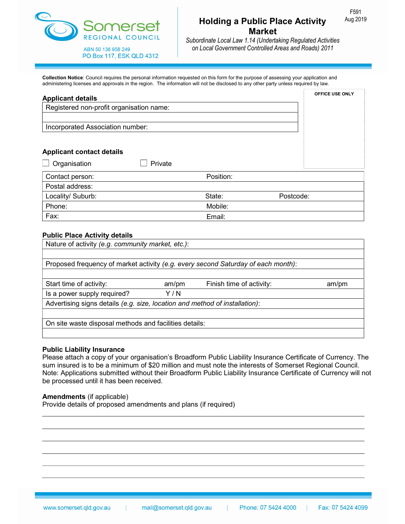

### Holding a Public Place Activity Aug 2019 Market

Subordinate Local Law 1.14 (Undertaking Regulated Activities on Local Government Controlled Areas and Roads) 2011

Collection Notice: Council requires the personal information requested on this form for the purpose of assessing your application and administering licenses and approvals in the region. The information will not be disclosed to any other party unless required by law.

| <b>Applicant details</b>                 |           | <b>OFFICE USE ONLY</b> |
|------------------------------------------|-----------|------------------------|
| Registered non-profit organisation name: |           |                        |
|                                          |           |                        |
| Incorporated Association number:         |           |                        |
|                                          |           |                        |
| <b>Applicant contact details</b>         |           |                        |
| Private<br>Organisation                  |           |                        |
| Contact person:                          | Position: |                        |
| Postal address:                          |           |                        |
| Locality/ Suburb:                        | State:    | Postcode:              |
| Phone:                                   | Mobile:   |                        |
| Fax:                                     | Email:    |                        |

#### Public Place Activity details

| Nature of activity (e.g. community market, etc.):                                 |      |                          |       |  |  |
|-----------------------------------------------------------------------------------|------|--------------------------|-------|--|--|
|                                                                                   |      |                          |       |  |  |
| Proposed frequency of market activity (e.g. every second Saturday of each month): |      |                          |       |  |  |
|                                                                                   |      |                          |       |  |  |
| Start time of activity:                                                           | am/m | Finish time of activity: | am/pm |  |  |
| Is a power supply required?                                                       | Y/N  |                          |       |  |  |
| Advertising signs details (e.g. size, location and method of installation):       |      |                          |       |  |  |
|                                                                                   |      |                          |       |  |  |
| On site waste disposal methods and facilities details:                            |      |                          |       |  |  |
|                                                                                   |      |                          |       |  |  |

#### Public Liability Insurance

Please attach a copy of your organisation's Broadform Public Liability Insurance Certificate of Currency. The sum insured is to be a minimum of \$20 million and must note the interests of Somerset Regional Council. Note: Applications submitted without their Broadform Public Liability Insurance Certificate of Currency will not be processed until it has been received.

#### Amendments (if applicable)

Provide details of proposed amendments and plans (if required)

F591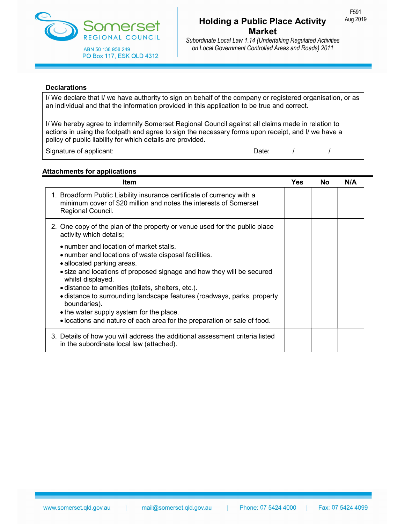

Subordinate Local Law 1.14 (Undertaking Regulated Activities on Local Government Controlled Areas and Roads) 2011

#### **Declarations**

I/ We declare that I/ we have authority to sign on behalf of the company or registered organisation, or as an individual and that the information provided in this application to be true and correct.

I/ We hereby agree to indemnify Somerset Regional Council against all claims made in relation to actions in using the footpath and agree to sign the necessary forms upon receipt, and I/ we have a policy of public liability for which details are provided.

Signature of applicant:  $\begin{array}{ccc} \hline \end{array}$  /  $\begin{array}{ccc} \hline \end{array}$  /  $\begin{array}{ccc} \hline \end{array}$  /  $\begin{array}{ccc} \hline \end{array}$ 

#### Attachments for applications

| Item                                                                                                                                                                                                                                                                                                                                                                                                                                                                                                 | <b>Yes</b> | <b>No</b> | N/A |
|------------------------------------------------------------------------------------------------------------------------------------------------------------------------------------------------------------------------------------------------------------------------------------------------------------------------------------------------------------------------------------------------------------------------------------------------------------------------------------------------------|------------|-----------|-----|
| 1. Broadform Public Liability insurance certificate of currency with a<br>minimum cover of \$20 million and notes the interests of Somerset<br>Regional Council.                                                                                                                                                                                                                                                                                                                                     |            |           |     |
| 2. One copy of the plan of the property or venue used for the public place<br>activity which details;                                                                                                                                                                                                                                                                                                                                                                                                |            |           |     |
| • number and location of market stalls.<br>• number and locations of waste disposal facilities.<br>• allocated parking areas.<br>• size and locations of proposed signage and how they will be secured<br>whilst displayed.<br>• distance to amenities (toilets, shelters, etc.).<br>· distance to surrounding landscape features (roadways, parks, property<br>boundaries).<br>• the water supply system for the place.<br>. locations and nature of each area for the preparation or sale of food. |            |           |     |
| 3. Details of how you will address the additional assessment criteria listed<br>in the subordinate local law (attached).                                                                                                                                                                                                                                                                                                                                                                             |            |           |     |